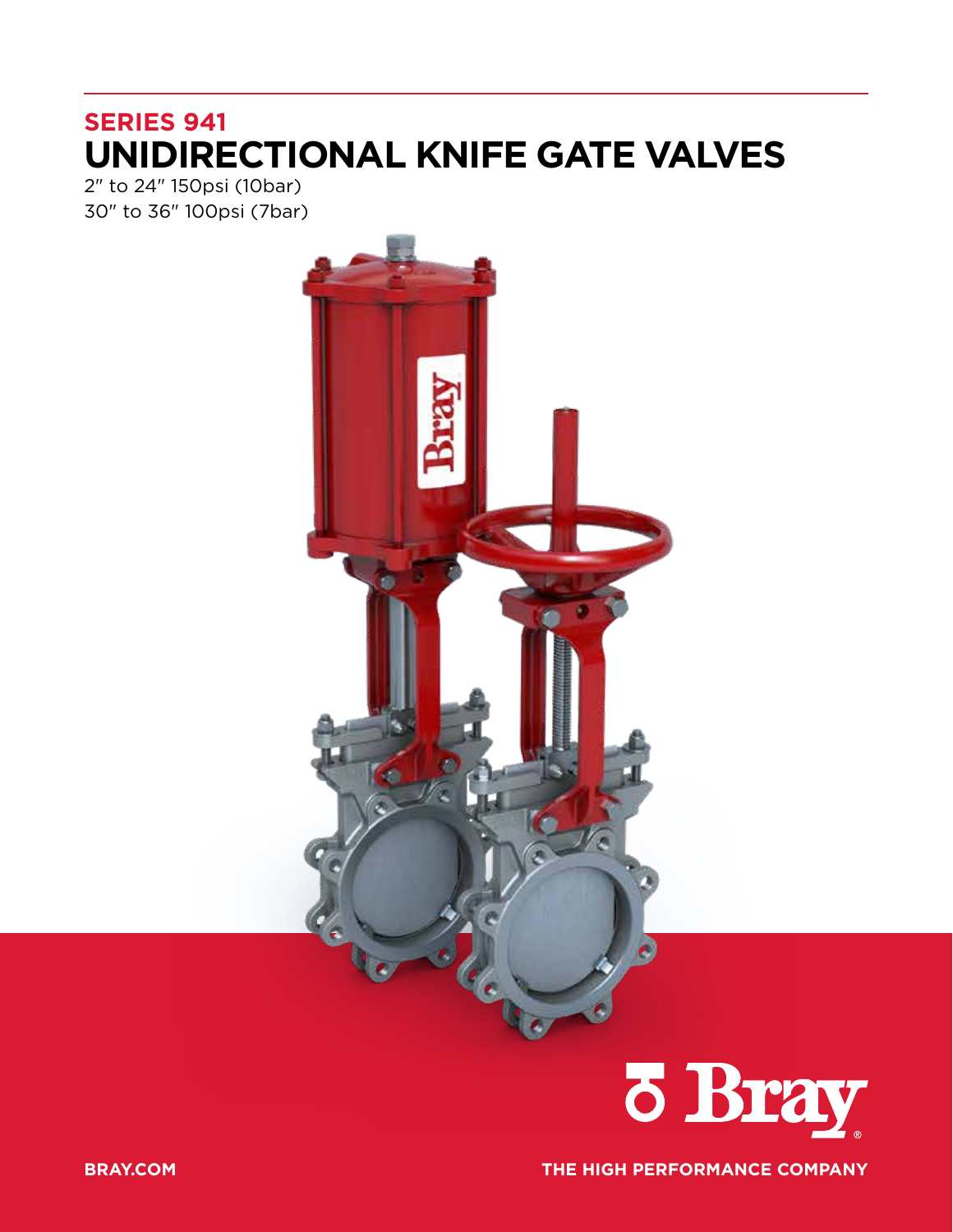# **SERIES 941 UNIDIRECTIONAL KNIFE GATE VALVES**

2" to 24" 150psi (10bar) 30" to 36" 100psi (7bar)





**BRAY.COM THE HIGH PERFORMANCE COMPANY**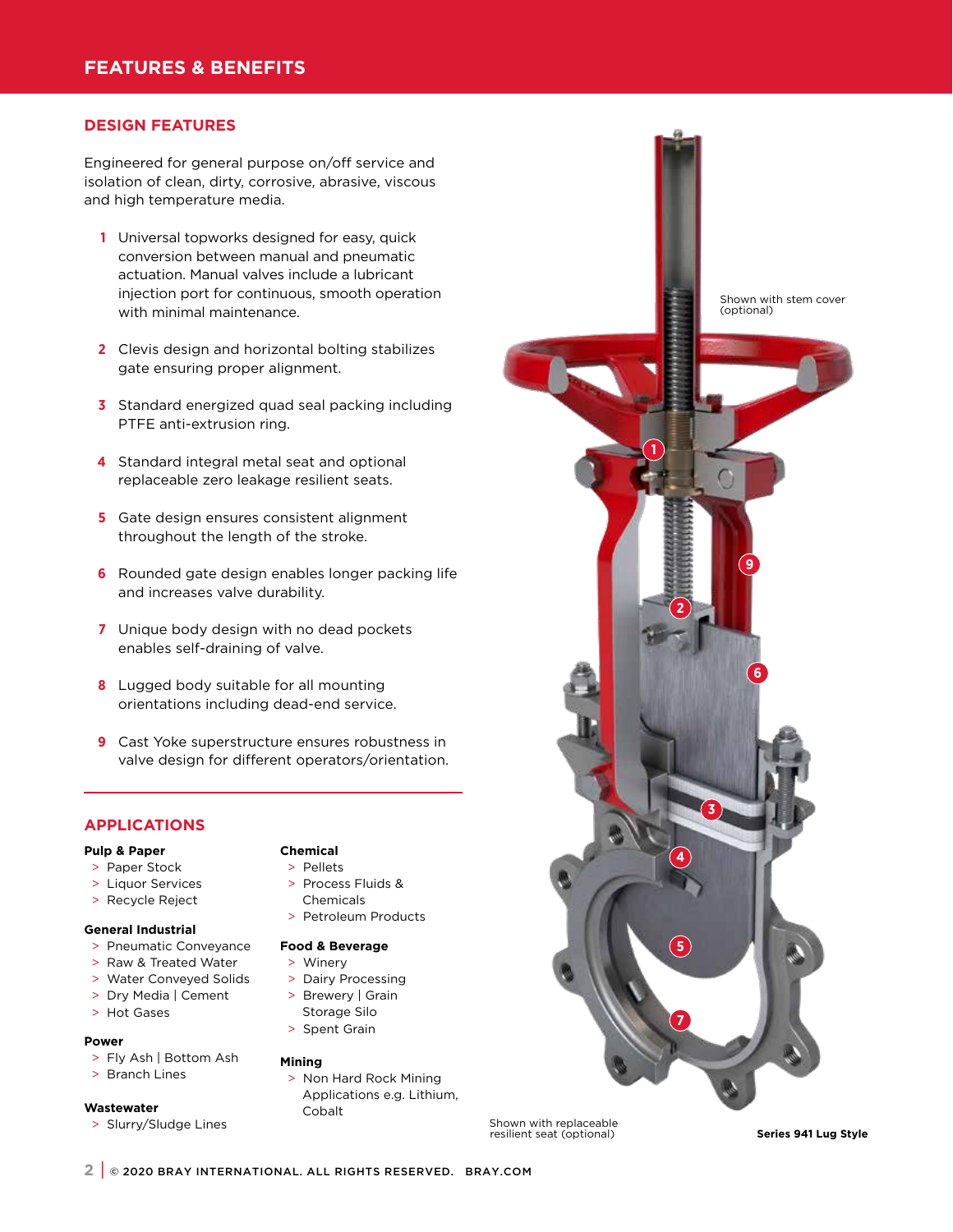# **DESIGN FEATURES**

Engineered for general purpose on/off service and isolation of clean, dirty, corrosive, abrasive, viscous and high temperature media.

- **1** Universal topworks designed for easy, quick conversion between manual and pneumatic actuation. Manual valves include a lubricant injection port for continuous, smooth operation with minimal maintenance.
- **2** Clevis design and horizontal bolting stabilizes gate ensuring proper alignment.
- **3** Standard energized quad seal packing including PTFE anti-extrusion ring.
- **4** Standard integral metal seat and optional replaceable zero leakage resilient seats.
- **5** Gate design ensures consistent alignment throughout the length of the stroke.
- **6** Rounded gate design enables longer packing life and increases valve durability.
- **7** Unique body design with no dead pockets enables self-draining of valve.
- **8** Lugged body suitable for all mounting orientations including dead-end service.
- **9** Cast Yoke superstructure ensures robustness in valve design for different operators/orientation.

# **APPLICATIONS**

# **Pulp & Paper**

- >Paper Stock
- >Liquor Services
- >Recycle Reject

# **General Industrial**

- >Pneumatic Conveyance
- >Raw & Treated Water
- >Water Conveyed Solids
- >Dry Media | Cement
- >Hot Gases

# **Power**

 >Fly Ash | Bottom Ash >Branch Lines

#### **Wastewater**

>Slurry/Sludge Lines

# **Chemical**

- >Pellets >Process Fluids &
- Chemicals
- 
- >Petroleum Products
- **Food & Beverage**
- >Winery
- >Dairy Processing
- >Brewery | Grain Storage Silo
- >Spent Grain

### **Mining**

 >Non Hard Rock Mining Applications e.g. Lithium, Cobalt



Shown with replaceable resilient seat (optional)

**Series 941 Lug Style**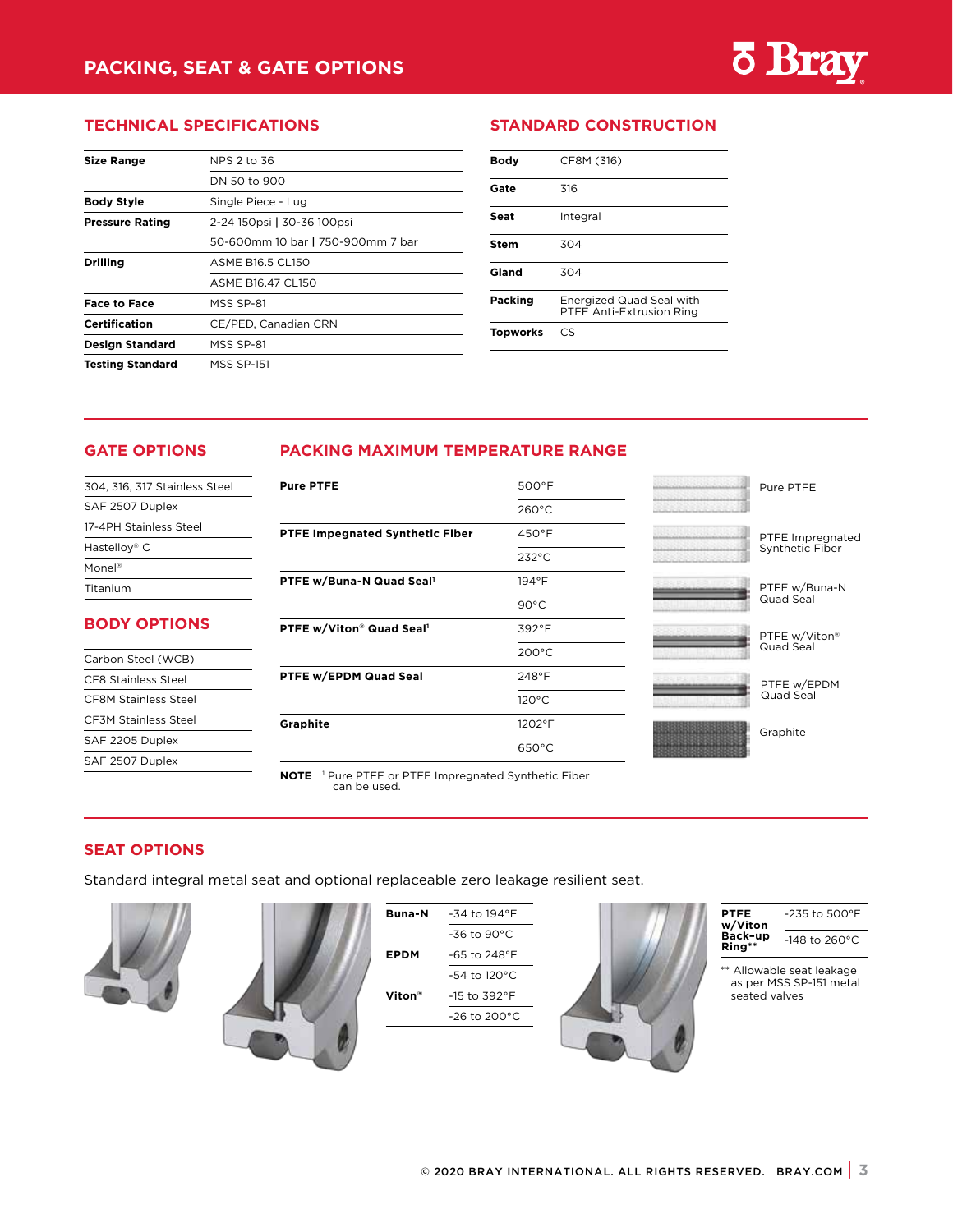# **TECHNICAL SPECIFICATIONS STANDARD CONSTRUCTION**

| <b>Size Range</b>       | NPS 2 to 36                       |  |  |  |  |
|-------------------------|-----------------------------------|--|--|--|--|
|                         | DN 50 to 900                      |  |  |  |  |
| <b>Body Style</b>       | Single Piece - Lug                |  |  |  |  |
| <b>Pressure Rating</b>  | 2-24 150psi   30-36 100psi        |  |  |  |  |
|                         | 50-600mm 10 bar   750-900mm 7 bar |  |  |  |  |
| <b>Drilling</b>         | <b>ASME B16.5 CL150</b>           |  |  |  |  |
|                         | ASME B16.47 CL150                 |  |  |  |  |
| <b>Face to Face</b>     | MSS SP-81                         |  |  |  |  |
| <b>Certification</b>    | CE/PED, Canadian CRN              |  |  |  |  |
| <b>Design Standard</b>  | MSS SP-81                         |  |  |  |  |
| <b>Testing Standard</b> | <b>MSS SP-151</b>                 |  |  |  |  |
|                         |                                   |  |  |  |  |

| Bodv     | CF8M (316)                                           |
|----------|------------------------------------------------------|
| Gate     | 316                                                  |
| Seat     | Integral                                             |
| Stem     | 304                                                  |
| Gland    | 304                                                  |
| Packing  | Energized Quad Seal with<br>PTFE Anti-Extrusion Ring |
| Topworks | CS                                                   |

# **GATE OPTIONS**

# **PACKING MAXIMUM TEMPERATURE RANGE**

| 304, 316, 317 Stainless Steel | <b>Pure PTFE</b>                     | $500^{\circ}$ F | 1999 1999 1999<br>Pure PTFE                  |
|-------------------------------|--------------------------------------|-----------------|----------------------------------------------|
| SAF 2507 Duplex               |                                      | $260^{\circ}$ C |                                              |
| 17-4PH Stainless Steel        | PTFE Impegnated Synthetic Fiber      | $450^{\circ}$ F | <b>A PORT AND A PART</b><br>PTFE Impregnated |
| Hastelloy® C                  |                                      | $232^{\circ}$ C | Synthetic Fiber                              |
| Monel <sup>®</sup>            |                                      |                 |                                              |
| <b>Titanium</b>               | PTFE w/Buna-N Quad Seal <sup>1</sup> | 194°F           | PTFE w/Buna-N                                |
|                               |                                      | $90^{\circ}$ C  | Quad Seal                                    |
| <b>BODY OPTIONS</b>           | PTFE w/Viton® Quad Seal1             | 392°F           | PTFE w/Viton <sup>®</sup>                    |
| Carbon Steel (WCB)            |                                      | $200^{\circ}$ C | Quad Seal                                    |
| <b>CF8 Stainless Steel</b>    | PTFE w/EPDM Quad Seal                | 248°F           | PTFE w/EPDM                                  |
| <b>CF8M Stainless Steel</b>   |                                      | $120^{\circ}$ C | Quad Seal                                    |
| <b>CF3M Stainless Steel</b>   | <b>Graphite</b>                      | 1202°F          |                                              |
| SAF 2205 Duplex               |                                      | $650^{\circ}$ C | Graphite                                     |
| SAF 2507 Duplex               |                                      |                 |                                              |

**NOTE** <sup>1</sup> Pure PTFE or PTFE Impregnated Synthetic Fiber can be used.

# **SEAT OPTIONS**

Standard integral metal seat and optional replaceable zero leakage resilient seat.









| <b>PTFE</b><br>w/Viton | $-235$ to $500^{\circ}$ F |  |  |  |
|------------------------|---------------------------|--|--|--|
| Back-up<br>Ring**      | $-148$ to 260°C.          |  |  |  |
|                        |                           |  |  |  |

<sup>\*</sup> Allowable seat leakage as per MSS SP-151 metal seated valves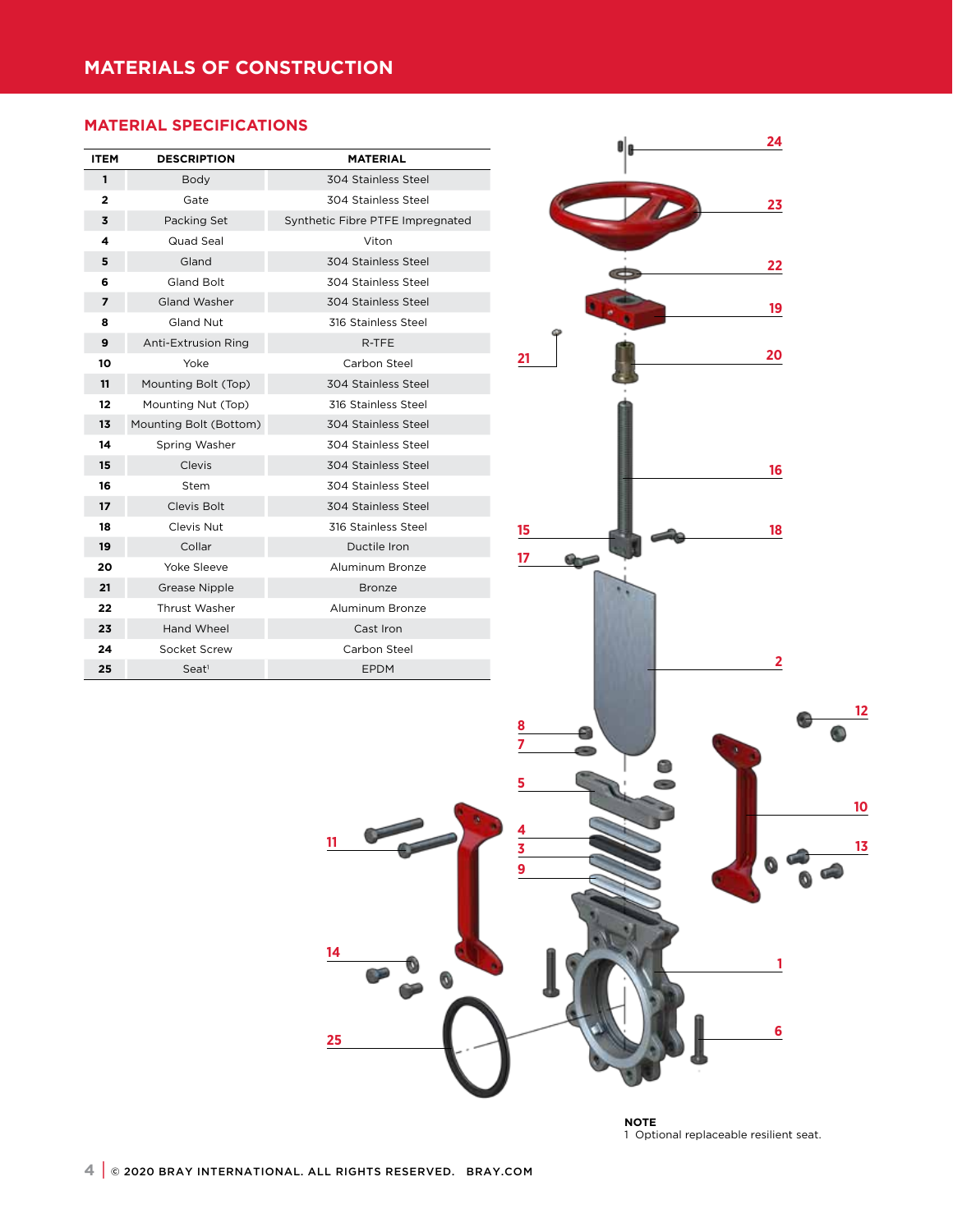# **MATERIAL SPECIFICATIONS**

| ITEM           | <b>DESCRIPTION</b>     | <b>MATERIAL</b>                  |  |  |  |
|----------------|------------------------|----------------------------------|--|--|--|
| 1              | Body                   | 304 Stainless Steel              |  |  |  |
| $\overline{2}$ | Gate                   | 304 Stainless Steel              |  |  |  |
| 3              | Packing Set            | Synthetic Fibre PTFE Impregnated |  |  |  |
| 4              | Quad Seal              | Viton                            |  |  |  |
| 5              | Gland                  | 304 Stainless Steel              |  |  |  |
| 6              | <b>Gland Bolt</b>      | 304 Stainless Steel              |  |  |  |
| 7              | Gland Washer           | 304 Stainless Steel              |  |  |  |
| 8              | Gland Nut              | 316 Stainless Steel              |  |  |  |
| 9              | Anti-Extrusion Ring    | R-TFE                            |  |  |  |
| 10             | Yoke                   | Carbon Steel                     |  |  |  |
| 11             | Mounting Bolt (Top)    | 304 Stainless Steel              |  |  |  |
| 12             | Mounting Nut (Top)     | 316 Stainless Steel              |  |  |  |
| 13             | Mounting Bolt (Bottom) | 304 Stainless Steel              |  |  |  |
| 14             | Spring Washer          | 304 Stainless Steel              |  |  |  |
| 15             | Clevis                 | 304 Stainless Steel              |  |  |  |
| 16             | Stem                   | 304 Stainless Steel              |  |  |  |
| 17             | Clevis Bolt            | 304 Stainless Steel              |  |  |  |
| 18             | Clevis Nut             | 316 Stainless Steel              |  |  |  |
| 19             | Collar                 | Ductile Iron                     |  |  |  |
| 20             | Yoke Sleeve            | Aluminum Bronze                  |  |  |  |
| 21             | Grease Nipple          | <b>Bronze</b>                    |  |  |  |
| 22             | Thrust Washer          | Aluminum Bronze                  |  |  |  |
| 23             | Hand Wheel             | Cast Iron                        |  |  |  |
| 24             | Socket Screw           | Carbon Steel                     |  |  |  |
| 25             | $S$ eat <sup>1</sup>   | <b>EPDM</b>                      |  |  |  |



**NOTE** Optional replaceable resilient seat.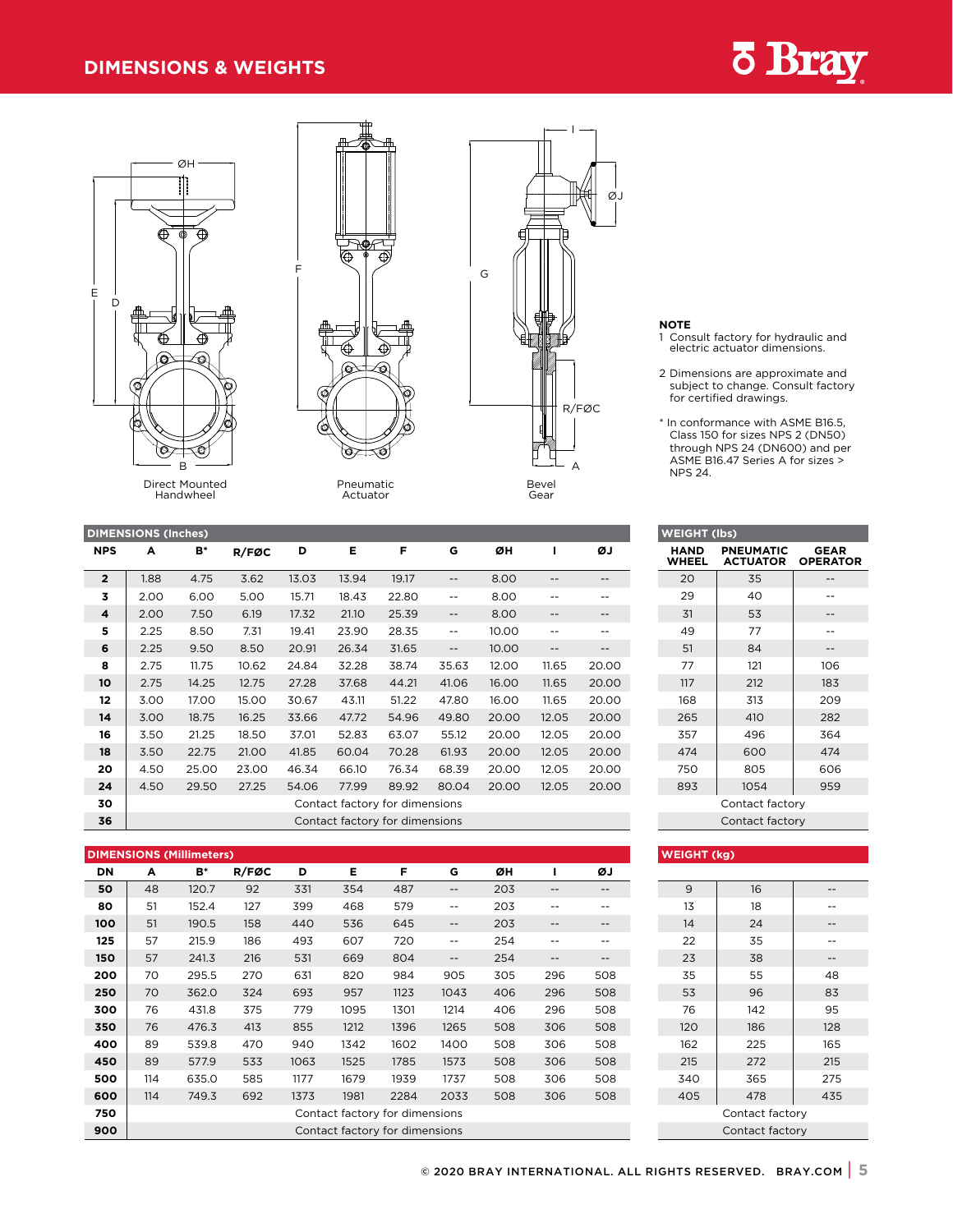# **DIMENSIONS & WEIGHTS**

ØH

D E

B

Ø,

ัค

4

Direct Mounted Handwheel



 $\overline{\Phi}$ 

⊕

ଵ

F



# **NOTE**

1 Consult factory for hydraulic and electric actuator dimensions.

**ö Bray** 

2 Dimensions are approximate and subject to change. Consult factory for certified drawings.

\* In conformance with ASME B16.5, Class 150 for sizes NPS 2 (DN50) through NPS 24 (DN600) and per ASME B16.47 Series A for sizes > NPS 24.

| <b>WEIGHT (lbs)</b> |                                     |                                |  |  |  |
|---------------------|-------------------------------------|--------------------------------|--|--|--|
| HAND<br>WHEEL       | <b>PNEUMATIC</b><br><b>ACTUATOR</b> | <b>GEAR</b><br><b>OPERATOR</b> |  |  |  |
| 20                  | 35                                  |                                |  |  |  |
| 29                  | 40                                  |                                |  |  |  |
| 31                  | 53                                  |                                |  |  |  |
| 49                  | 77                                  |                                |  |  |  |
| 51                  | 84                                  |                                |  |  |  |
| 77                  | 121                                 | 106                            |  |  |  |
| 117                 | 212                                 | 183                            |  |  |  |
| 168                 | 313                                 | 209                            |  |  |  |
| 265                 | 410                                 | 282                            |  |  |  |
| 357                 | 496                                 | 364                            |  |  |  |
| 474                 | 600                                 | 474                            |  |  |  |
| 750                 | 805                                 | 606                            |  |  |  |
| 893                 | 1054                                | 959                            |  |  |  |
| Contact factory     |                                     |                                |  |  |  |
| Contact factory     |                                     |                                |  |  |  |

| <b>WEIGHT (kg)</b> |     |     |  |  |  |
|--------------------|-----|-----|--|--|--|
|                    |     |     |  |  |  |
| 9                  | 16  |     |  |  |  |
| 13                 | 18  |     |  |  |  |
| 14                 | 24  |     |  |  |  |
| 22                 | 35  |     |  |  |  |
| 23                 | 38  |     |  |  |  |
| 35                 | 55  | 48  |  |  |  |
| 53                 | 96  | 83  |  |  |  |
| 76                 | 142 | 95  |  |  |  |
| 120                | 186 | 128 |  |  |  |
| 162                | 225 | 165 |  |  |  |
| 215                | 272 | 215 |  |  |  |
| 340                | 365 | 275 |  |  |  |
| 405                | 478 | 435 |  |  |  |
| Contact factory    |     |     |  |  |  |
| Contact factory    |     |     |  |  |  |

| <b>DIMENSIONS (Inches)</b> |                                |       |       |       |       |       |       |       |                   |       |
|----------------------------|--------------------------------|-------|-------|-------|-------|-------|-------|-------|-------------------|-------|
| <b>NPS</b>                 | A                              | $B^*$ | R/FØC | D     | Е     | F     | G     | ØΗ    | ı                 | ØJ    |
| $\overline{2}$             | 1.88                           | 4.75  | 3.62  | 13.03 | 13.94 | 19.17 | --    | 8.00  | --                | $- -$ |
| 3                          | 2.00                           | 6.00  | 5.00  | 15.71 | 18.43 | 22.80 | $-1$  | 8.00  | $- -$             | $- -$ |
| 4                          | 2.00                           | 7.50  | 6.19  | 17.32 | 21.10 | 25.39 | --    | 8.00  | $- -$             | $- -$ |
| 5                          | 2.25                           | 8.50  | 7.31  | 19.41 | 23.90 | 28.35 | $-$   | 10.00 | --                | --    |
| 6                          | 2.25                           | 9.50  | 8.50  | 20.91 | 26.34 | 31.65 | --    | 10.00 | $\qquad \qquad -$ |       |
| 8                          | 2.75                           | 11.75 | 10.62 | 24.84 | 32.28 | 38.74 | 35.63 | 12.00 | 11.65             | 20.00 |
| 10                         | 2.75                           | 14.25 | 12.75 | 27.28 | 37.68 | 44.21 | 41.06 | 16.00 | 11.65             | 20.00 |
| 12                         | 3.00                           | 17.00 | 15.00 | 30.67 | 43.11 | 51.22 | 47.80 | 16.00 | 11.65             | 20.00 |
| 14                         | 3.00                           | 18.75 | 16.25 | 33.66 | 47.72 | 54.96 | 49.80 | 20.00 | 12.05             | 20.00 |
| 16                         | 3.50                           | 21.25 | 18.50 | 37.01 | 52.83 | 63.07 | 55.12 | 20.00 | 12.05             | 20.00 |
| 18                         | 3.50                           | 22.75 | 21.00 | 41.85 | 60.04 | 70.28 | 61.93 | 20.00 | 12.05             | 20.00 |
| 20                         | 4.50                           | 25.00 | 23.00 | 46.34 | 66.10 | 76.34 | 68.39 | 20.00 | 12.05             | 20.00 |
| 24                         | 4.50                           | 29.50 | 27.25 | 54.06 | 77.99 | 89.92 | 80.04 | 20.00 | 12.05             | 20.00 |
| 30                         | Contact factory for dimensions |       |       |       |       |       |       |       |                   |       |
| 36                         | Contact factory for dimensions |       |       |       |       |       |       |       |                   |       |

Pneumatic Actuator

ð,

**DIMENSIONS (Millimeters) DN A B\* R/FØC D E F G ØH I ØJ** 48 120.7 92 331 354 487 -- 203 -- -- 51 152.4 127 399 468 579 -- 203 -- -- 51 190.5 158 440 536 645 -- 203 -- -- 57 215.9 186 493 607 720 -- 254 -- -- 57 241.3 216 531 669 804 -- 254 -- -- 70 295.5 270 631 820 984 905 305 296 508 70 362.0 324 693 957 1123 1043 406 296 508 76 431.8 375 779 1095 1301 1214 406 296 508 76 476.3 413 855 1212 1396 1265 508 306 508 89 539.8 470 940 1342 1602 1400 508 306 508 89 577.9 533 1063 1525 1785 1573 508 306 508 114 635.0 585 1177 1679 1939 1737 508 306 508 114 749.3 692 1373 1981 2284 2033 508 306 508 Contact factory for dimensions Contact factory for dimensions

# © 2020 BRAY INTERNATIONAL. ALL RIGHTS RESERVED. BRAY.COM | **5**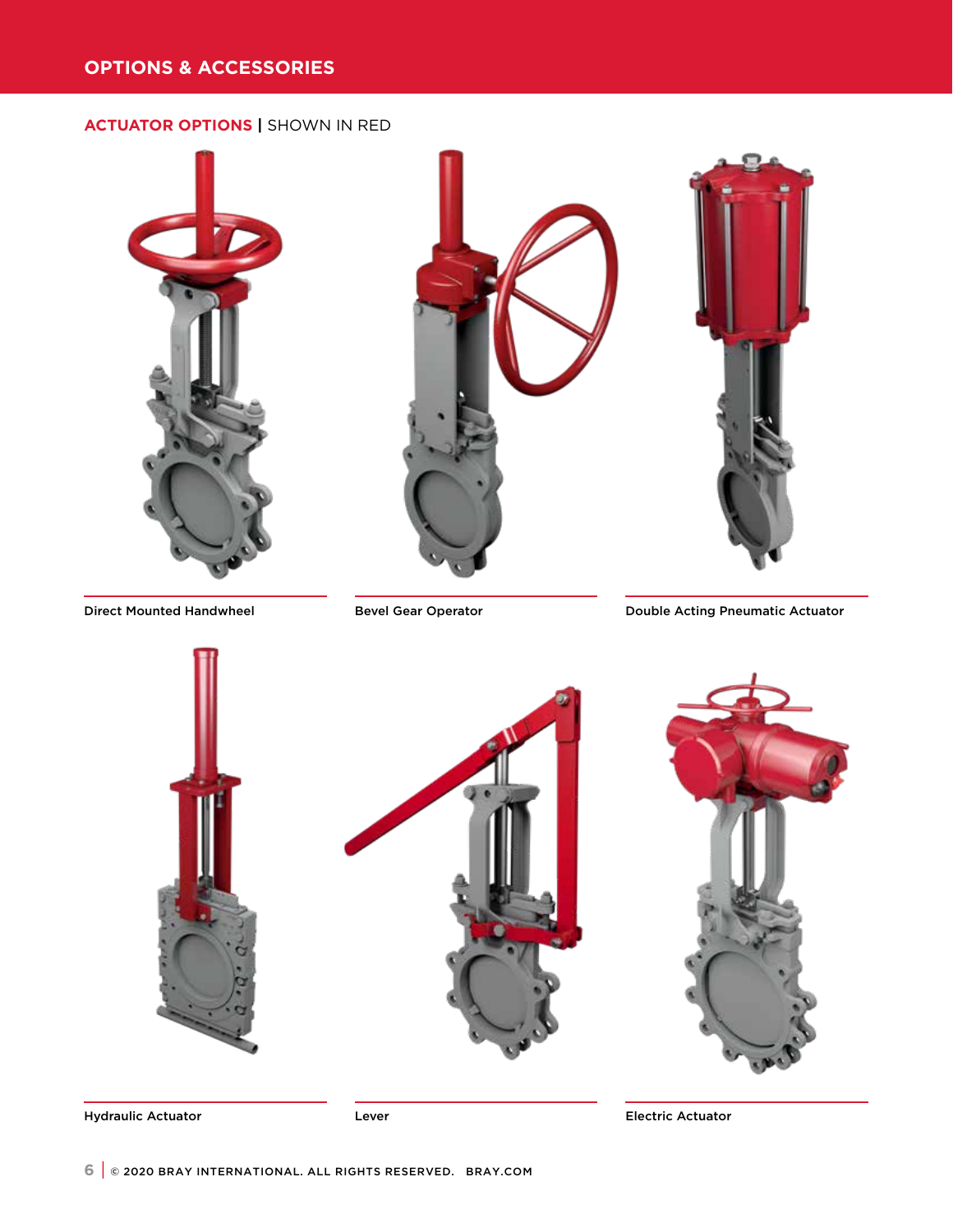# **ACTUATOR OPTIONS |** SHOWN IN RED



Hydraulic Actuator **Lever** Lever **Container Electric Actuator** Electric Actuator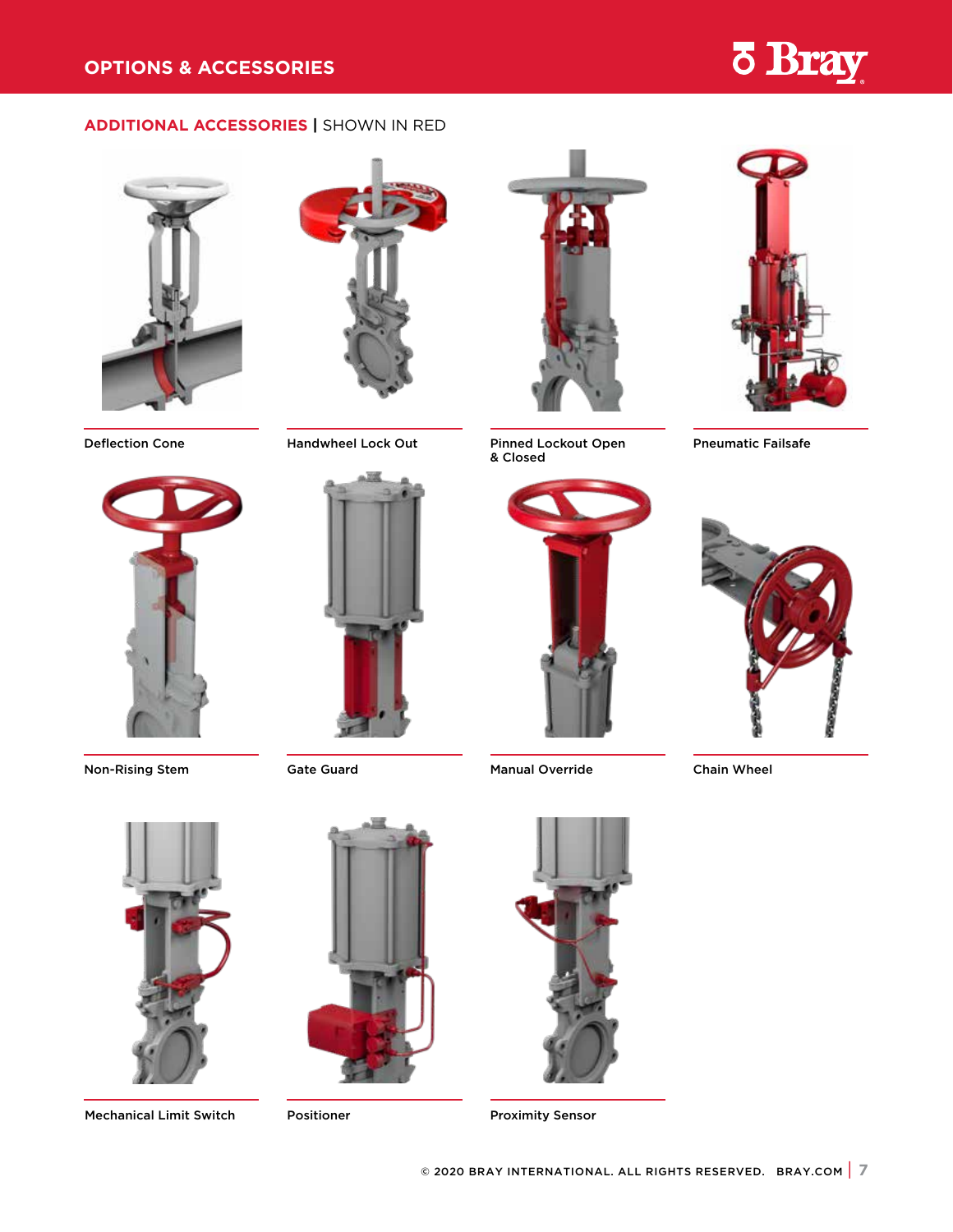# **ADDITIONAL ACCESSORIES |** SHOWN IN RED



Deflection Cone



Handwheel Lock Out



Pinned Lockout Open & Closed



**7 Bray** 

Pneumatic Failsafe



Non-Rising Stem

Gate Guard

Manual Override **Chain Wheel** 





Mechanical Limit Switch Positioner Proximity Sensor